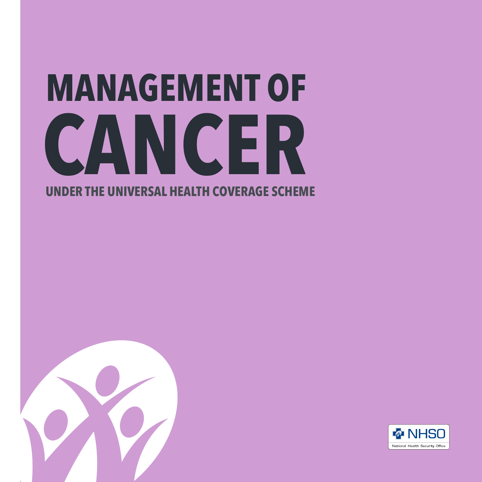## **MANAGEMENT OF UNDER THE UNIVERSAL HEALTH COVERAGE SCHEME CANCER**



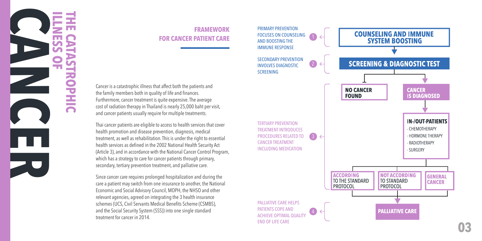

#### **FRAMEWORK FOR CANCER PATIENT CARE**

Cancer is a catastrophic illness that affect both the patients and the family members both in quality of life and finances. Furthermore, cancer treatment is quite expensive. The average cost of radiation therapy in Thailand is nearly 25,000 baht per visit, and cancer patients usually require for multiple treatments.

Thai cancer patients are eligible to access to health services that cover health promotion and disease prevention, diagnosis, medical treatment, as well as rehabilitation. This is under the right to essential health services as defined in the 2002 National Health Security Act (Article 3), and in accordance with the National Cancer Control Program, which has a strategy to care for cancer patients through primary, secondary, tertiary prevention treatment, and palliative care.

Since cancer care requires prolonged hospitalization and during the care a patient may switch from one insurance to another, the National Economic and Social Advisory Council, MOPH, the NHSO and other relevant agencies, agreed on integrating the 3 health insurance schemes (UCS, Civil Servants Medical Benefits Scheme (CSMBS), and the Social Security System (SSS)) into one single standard treatment for cancer in 2014.

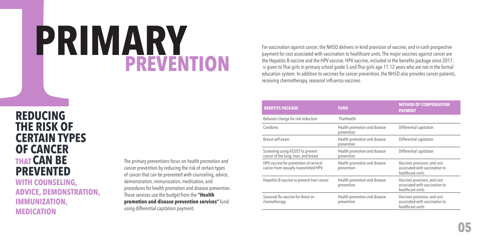# **PREVENTION PRIMARY**

**PR<br>
REDUCING<br>THE RISK OF<br>CERTAIN TYPI<br>OF CANCER THAT CAN BE PREVENTED WITH COUNSELING, ADVICE, DEMONSTRATION, IMMUNIZATION, REDUCING THE RISK OF CERTAIN TYPES OF CANCER**

**MEDICATION**

The primary preventions focus on health promotion and cancer prevention by reducing the risk of certain types of cancer that can be prevented with counseling, advice, demonstration, immunization, medication, and procedures for health promotion and disease prevention. These services use the budget from the **"Health promotion and disease prevention services"** fund using differential capitation payment.

For vaccination against cancer, the NHSO delivers in-kind provision of vaccine, and in-cash prospective payment for cost associated with vaccination to healthcare units. The major vaccines against cancer are the Hepatitis B vaccine and the HPV vaccine. HPV vaccine, included in the benefits package since 2017, is given to Thai girls in primary school grade 5 and Thai girls age 11-12 years who are not in the formal education system. In addition to vaccines for cancer prevention, the NHSO also provides cancer patients, receiving chemotherapy, seasonal influenza vaccines.

| <b>BENEFITS PACKAGE</b>                                                        | <b>FUND</b>                                | <b>METHOD OF COMPENSATION</b><br><b>PAYMENT</b>                                    |  |  |
|--------------------------------------------------------------------------------|--------------------------------------------|------------------------------------------------------------------------------------|--|--|
| Behavior change for risk reduction                                             | ThaiHealth                                 |                                                                                    |  |  |
| Condoms                                                                        | Health promotion and disease<br>prevention | Differential capitation                                                            |  |  |
| Breast self-exam                                                               | Health promotion and disease<br>prevention | Differential capitation                                                            |  |  |
| Screening using ASSIST to prevent<br>cancer of the lung, liver, and breast     | Health promotion and disease<br>prevention | Differential capitation                                                            |  |  |
| HPV vaccine for prevention of cervical<br>cancer from sexually-transmitted HPV | Health promotion and disease<br>prevention | Vaccines provision, and cost<br>associated with vaccination to<br>healthcare units |  |  |
| Hepatitis B vaccine to prevent liver cancer                                    | Health promotion and disease<br>prevention | Vaccines provision, and cost<br>associated with vaccination to<br>healthcare units |  |  |
| Seasonal flu vaccine for those on<br>chemotherapy                              | Health promotion and disease<br>prevention | Vaccines provision, and cost<br>associated with vaccination to<br>healthcare units |  |  |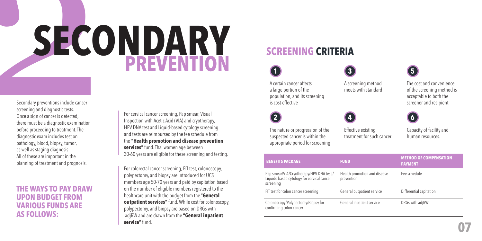# Secondary preventions include cancer<br>screening and diagnostic tests.<br>Once a sign of cancer is detected,<br>there must be a diagnostic examination<br>before proceeding to treatment. The<br>diagnostic exam includes test on **PREVENTION SECONDARY**

Secondary preventions include cancer screening and diagnostic tests. Once a sign of cancer is detected, there must be a diagnostic examination before proceeding to treatment. The diagnostic exam includes test on pathology, blood, biopsy, tumor, as well as staging diagnosis. All of these are important in the planning of treatment and prognosis.

#### **THE WAYS TO PAY DRAW UPON BUDGET FROM VARIOUS FUNDS ARE AS FOLLOWS:**

For cervical cancer screening, Pap smear, Visual Inspection with Acetic Acid (VIA) and cryotherapy, HPV DNA test and Liquid-based cytology screening and tests are reimbursed by the fee schedule from the **"Health promotion and disease prevention services"** fund. Thai women age between 30-60 years are eligible for these screening and testing.

For colorectal cancer screening, FIT test, colonoscopy, polypectomy, and biopsy are introduced for UCS members age 50-70 years and paid by capitation based on the number of eligible members registered to the healthcare unit with the budget from the "**General outpatient services"** fund. While cost for colonoscopy, polypectomy, and biopsy are based on DRGs with adjRW and are drawn from the **"General inpatient service"** fund.

#### **SCREENING CRITERIA**

A certain cancer affects a large portion of the population, and its screening is cost-effective

A screening method meets with standard

**3 5** 

The cost and convenience of the screening method is acceptable to both the

screener and recipient



**1** 

The nature or progression of the suspected cancer is within the appropriate period for screening

Effective existing treatment for such cancer Capacity of facility and human resources.

| <b>BENEFITS PACKAGE</b>                                                                             | <b>FUND</b>                                | <b>METHOD OF COMPENSATION</b><br><b>PAYMENT</b> |
|-----------------------------------------------------------------------------------------------------|--------------------------------------------|-------------------------------------------------|
| Pap smear/VIA/Cryotherapy/HPV DNA test /<br>Liquide based cytology for cervical cancer<br>screening | Health promotion and disease<br>prevention | Fee schedule                                    |
| FIT test for colon cancer screening                                                                 | General outpatient service                 | Differential capitation                         |
| Colonoscopy/Polypectomy/Biopsy for<br>confirming colon cancer                                       | General inpatient service                  | DRGs with adjRW                                 |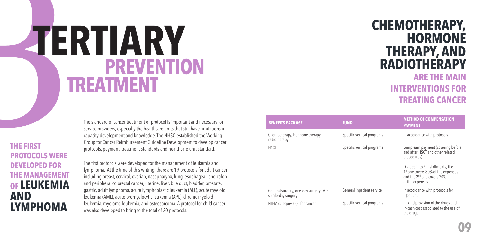# **PREVENTION TREATMENT TERTIARY CHEMOTHERAPY,**

The standard of cancer treatment or protocol is important and necessary for service providers, especially the healthcare units that still have limitations in capacity development and knowledge. The NHSO established the Working Group for Cancer Reimbursement Guideline Development to develop cancer protocols, payment, treatment standards and healthcare unit standard.

**THE FIRST PROTOCOLS WERE DEVELOPED FOR THE MANAGEMENT OF LEUKEMIA AND LYMPHOMA**

The first protocols were developed for the management of leukemia and lymphoma. At the time of this writing, there are 19 protocols for adult cancer including breast, cervical, ovarian, nasopharynx, lung, esophageal, and colon and peripheral colorectal cancer, uterine, liver, bile duct, bladder, prostate, gastric, adult lymphoma, acute lymphoblastic leukemia (ALL), acute myeloid leukemia (AML), acute promyelocytic leukemia (APL), chronic myeloid leukemia, myeloma leukemia, and osteosarcoma. A protocol for child cancer was also developed to bring to the total of 20 protocols.

## **HORMONE THERAPY, AND RADIOTHERAPY ARE THE MAIN**

#### **INTERVENTIONS FOR TREATING CANCER**

| <b>BENEFITS PACKAGE</b>                                      | <b>FUND</b>                | <b>METHOD OF COMPENSATION</b><br><b>PAYMENT</b>                                                                                                                                                                      |
|--------------------------------------------------------------|----------------------------|----------------------------------------------------------------------------------------------------------------------------------------------------------------------------------------------------------------------|
| Chemotherapy, hormone therapy,<br>radiotherapy               | Specific vertical programs | In accordance with protocols                                                                                                                                                                                         |
| <b>HSCT</b>                                                  | Specific vertical programs | Lump-sum payment (covering before<br>and after HSCT and other related<br>procedures)<br>Divided into 2 installments, the<br>1 <sup>st</sup> one covers 80% of the expenses<br>and the 2 <sup>nd</sup> one covers 20% |
| General surgery, one-day surgery, MIS,<br>single-day surgery | General inpatient service  | of the expenses<br>In accordance with protocols for<br>inpatient                                                                                                                                                     |
| NLEM category E (2) for cancer                               | Specific vertical programs | In-kind provision of the drugs and<br>in-cash cost associated to the use of<br>the drugs                                                                                                                             |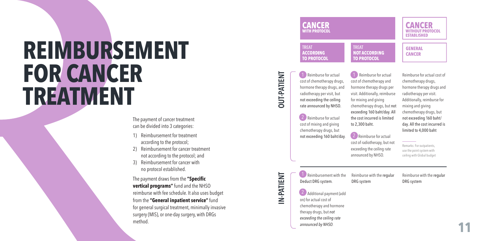# **REIMBURSEMENT FOR CANCER TREATMENT**

The payment of cancer treatment can be divided into 3 categories:

- 1) Reimbursement for treatment according to the protocol;
- 2) Reimbursement for cancer treatment not according to the protocol; and
- 3) Reimbursement for cancer with no protocol established.

The payment draws from the **"Specific vertical programs"** fund and the NHSO reimburse with fee schedule. It also uses budget from the **"General inpatient service"** fund for general surgical treatment, minimally invasive surgery (MIS), or one-day surgery, with DRGs method.



## **DUT-PATIENT OUT-PATIENT**

**IN-PATIENT**

N-PATIENT

cost of chemotherapy drugs, hormone therapy drugs, and radiotherapy per visit, but not exceeding the ceiling rate announced by NHSO.  $\frac{1}{10}$ <br>  $\frac{1}{10}$ <br>  $\frac{1}{10}$ <br>  $\frac{1}{10}$ 

**1** Reimburse for actual

**(2)** Reimburse for actual cost of mixing and giving chemotherapy drugs, but not exceeding 160 baht/day .  $2$  io the node  $\frac{1}{2}$ 

1 Reimburse for actual cost of chemotherapy and hormone therapy drugs per visit. Additionally, reimburse for mixing and giving chemotherapy drugs, but not exceeding 160 baht/day. All the cost incurred is limited to 2,300 baht.

chemotherapy drugs, hormone therapy drugs and radiotherapy per visit. Additionally, reimburse for mixing and giving chemotherapy drugs, but not exceeding 160 baht/ day. All the cost incurred is limited to 4,000 baht

Reimburse for actual cost of

2 Reimburse for actual cost of radiotherapy, but not exceeding the ceiling rate announced by NHSO.

Remarks: For outpatients, use the point system with ceiling with Global budget

 $\Box$  Reimbursement with the Deduct DRG system .

DRG system

Reimburse with the regular

Reimburse with the regular DRG system

(2) Additional payment (add on) for actual cost of chemotherapy and hormone therapy drugs, but *not exceeding the ceiling rate announced by NHSO* .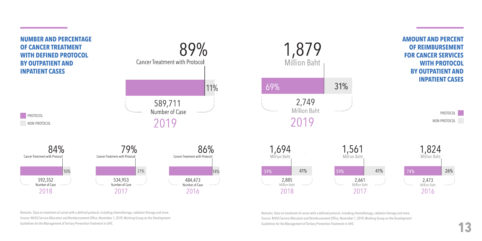

Remarks: Data on treatment of cancer with a defined protocol, including chemotherapy, radiation therapy and more. Source: NHSO Service Allocation and Reimbursement Office, November 1, 2019, Working Group on the Development Guidelines for the Management of Tertiary Prevention Treatment in UHC

Remarks: Data on treatment of cancer with a defined protocol, including chemotherapy, radiation therapy and more. Source: NHSO Service Allocation and Reimbursement Office, November 1, 2019, Working Group on the Development Guidelines for the Management of Tertiary Prevention Treatment in UHC **13**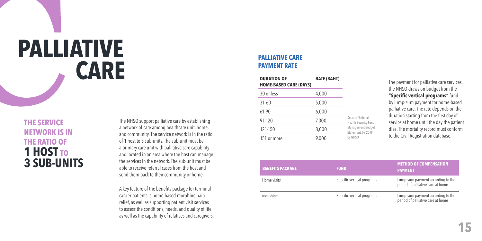# **PALLIATIVE CARE**

#### **THE SERVICE NETWORK IS IN THE RATIO OF 1 HOST TO 3 SUB-UNITS**

The NHSO support palliative care by establishing a network of care among healthcare unit, home, and community. The service network is in the ratio of 1 host to 3 sub-units. The sub-unit must be a primary care unit with palliative care capability and located in an area where the host can manage the services in the network. The sub-unit must be able to receive referral cases from the host and send them back to their community or home.

A key feature of the benefits package for terminal cancer patients is home-based morphine pain relief, as well as supporting patient visit services to assess the conditions, needs, and quality of life as well as the capability of relatives and caregivers.

#### **PALLIATIVE CARE PAYMENT RATE**

| <b>DURATION OF</b><br><b>HOME-BASED CARE (DAYS)</b> | <b>RATE (BAHT)</b> |                                                 |
|-----------------------------------------------------|--------------------|-------------------------------------------------|
| 30 or less                                          | 4,000              |                                                 |
| $31 - 60$                                           | 5,000              |                                                 |
| 61-90                                               | 6,000              |                                                 |
| 91-120                                              | 7,000              | Source: National<br><b>Health Security Fund</b> |
| 121-150                                             | 8,000              | Management Budget<br>Statement, FY 2019,        |
| 151 or more                                         | 9,000              | by NHSO                                         |

The payment for palliative care services, the NHSO draws on budget from the **"Specific vertical programs"** fund by lump-sum payment for home-based palliative care. The rate depends on the duration starting from the first day of service at home until the day the patient dies. The mortality record must conform to the Civil Registration database.

| <b>BENEFITS PACKAGE</b> | <b>FUND</b>                | <b>METHOD OF COMPENSATION</b><br><b>PAYMENT</b>                        |
|-------------------------|----------------------------|------------------------------------------------------------------------|
| Home visits             | Specific vertical programs | Lump-sum payment according to the<br>period of palliative care at home |
| morphine                | Specific vertical programs | Lump-sum payment according to the<br>period of palliative care at home |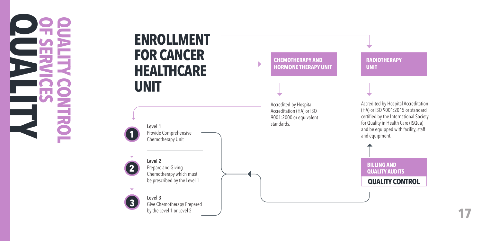**OF SERVICES QUALITY CONTROL QUALITY** E

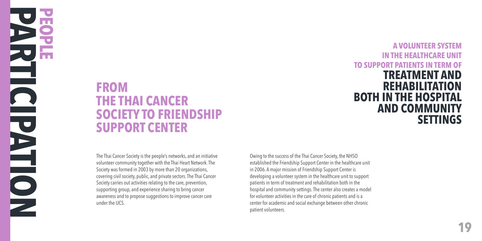#### **FROM THE THAI CANCER SOCIETY TO FRIENDSHIP SUPPORT CENTER**

The Thai Cancer Society is the people's networks, and an initiative volunteer community together with the Thai Heart Network. The Society was formed in 2003 by more than 20 organizations, covering civil society, public, and private sectors. The Thai Cancer Society carries out activities relating to the care, prevention, supporting group, and experience sharing to bring cancer awareness and to propose suggestions to improve cancer care under the UCS.

Owing to the success of the Thai Cancer Society, the NHSO established the Friendship Support Center in the healthcare unit in 2006. A major mission of Friendship Support Center is developing a volunteer system in the healthcare unit to support patients in term of treatment and rehabilitation both in the hospital and community settings. The center also creates a model for volunteer activities in the care of chronic patients and is a center for academic and social exchange between other chronic patient volunteers.

 **A VOLUNTEER SYSTEM IN THE HEALTHCARE UNIT TO SUPPORT PATIENTS IN TERM OF TREATMENT AND REHABILITATION BOTH IN THE HOSPITAL AND COMMUNITY SETTINGS**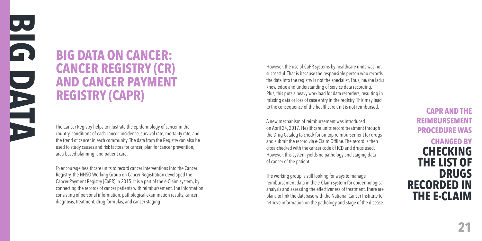### **BIG DATA ON CANCER: CANCER REGISTRY (CR) AND CANCER PAYMENT REGISTRY (CAPR)**

The Cancer Registry helps to illustrate the epidemiology of cancer in the country, conditions of each cancer, incidence, survival rate, mortality rate, and the trend of cancer in each community. The data from the Registry can also be used to study causes and risk factors for cancer, plan for cancer prevention, area-based planning, and patient care.

To encourage healthcare units to record cancer interventions into the Cancer Registry, the NHSO Working Group on Cancer Registration developed the Cancer Payment Registry (CaPR) in 2015. It is a part of the e-Claim system, by connecting the records of cancer patients with reimbursement. The information consisting of personal information, pathological examination results, cancer diagnosis, treatment, drug formulas, and cancer staging.

However, the use of CaPR systems by healthcare units was not successful. That is because the responsible person who records the data into the registry is not the specialist. Thus, he/she lacks knowledge and understanding of service data recording. Plus, this puts a heavy workload for data recorders, resulting in missing data or loss of case entry in the registry. This may lead to the consequence of the healthcare unit is not reimbursed.

A new mechanism of reimbursement was introduced on April 24, 2017. Healthcare units record treatment through the Drug Catalog to check for on-top reimbursement for drugs and submit the record via e-Claim Offline. The record is then cross-checked with the cancer code of ICD and drugs used. However, this system yields no pathology and staging data of cancer of the patient.

The working group is still looking for ways to manage reimbursement data in the e-Claim system for epidemiological analysis and assessing the effectiveness of treatment. There are plans to link the database with the National Cancer Institute to retrieve information on the pathology and stage of the disease.

#### **CAPR AND THE REIMBURSEMENT PROCEDURE WAS**

#### **CHANGED BY CHECKING THE LIST OF DRUGS RECORDED IN THE E-CLAIM**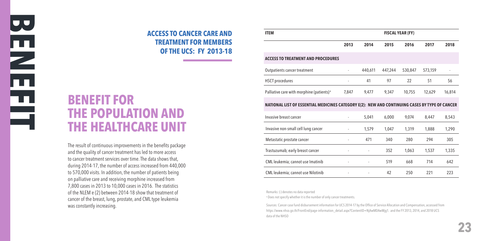#### **ACCESS TO CANCER CARE AND TREATMENT FOR MEMBERS OF THE UCS: FY 2013-18**

#### **BENEFIT FOR THE POPULATION AND THE HEALTHCARE UNIT**

The result of continuous improvements in the benefits package and the quality of cancer treatment has led to more access to cancer treatment services over time. The data shows that, during 2014-17, the number of access increased from 440,000 to 570,000 visits. In addition, the number of patients being on palliative care and receiving morphine increased from 7,800 cases in 2013 to 10,000 cases in 2016. The statistics of the NLEM e (2) between 2014-18 show that treatment of cancer of the breast, lung, prostate, and CML type leukemia was constantly increasing.

| <b>ITEM</b>                                                                                    | <b>FISCAL YEAR (FY)</b>  |         |         |         |         |        |
|------------------------------------------------------------------------------------------------|--------------------------|---------|---------|---------|---------|--------|
|                                                                                                | 2013                     | 2014    | 2015    | 2016    | 2017    | 2018   |
| <b>ACCESS TO TREATMENT AND PROCEDURES</b>                                                      |                          |         |         |         |         |        |
| Outpatients cancer treatment                                                                   |                          | 440,611 | 447,244 | 530,847 | 573,159 |        |
| <b>HSCT</b> procedures                                                                         | $\blacksquare$           | 41      | 97      | 22      | 51      | 56     |
| Palliative care with morphine (patients) <sup>a</sup>                                          | 7,847                    | 9,477   | 9,347   | 10,755  | 12,629  | 16,814 |
| NATIONAL LIST OF ESSENTIAL MEDICINES CATEGORY E(2): NEW AND CONTINUING CASES BY TYPE OF CANCER |                          |         |         |         |         |        |
| Invasive breast cancer                                                                         | ä,                       | 5,041   | 6,000   | 9,074   | 8,447   | 8,543  |
| Invasive non-small cell lung cancer                                                            |                          | 1,579   | 1,047   | 1,319   | 1,888   | 1,290  |
| Metastatic prostate cancer                                                                     |                          | 471     | 340     | 280     | 294     | 305    |
| Trastuzumab; early breast cancer                                                               | $\overline{\phantom{a}}$ |         | 352     | 1,063   | 1,537   | 1,335  |
| CML leukemia; cannot use Imatinib                                                              |                          |         | 519     | 668     | 714     | 642    |
| CML leukemia; cannot use Nilotinib                                                             |                          |         | 42      | 250     | 221     | 223    |

Remarks: (-) denotes no data reported

a Does not specify whether it is the number of only cancer treatments.

Sources: Cancer case fund disbursement information for UCS 2014-17 by the Office of Service Allocation and Compensation, accessed from https://www.nhso.go.th/FrontEnd/page-information\_detail.aspx?ContentID=NjAwMDAwMjg1. and the FY 2013, 2014, and 2018 UCS data of the NHSO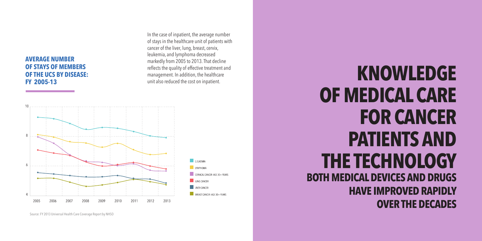#### **AVERAGE NUMBER OF STAYS OF MEMBERS OF THE UCS BY DISEASE: FY 2005-13**

In the case of inpatient, the average number of stays in the healthcare unit of patients with cancer of the liver, lung, breast, cervix, leukemia, and lymphoma decreased markedly from 2005 to 2013. That decline reflects the quality of effective treatment and management. In addition, the healthcare



Source: FY 2013 Universal Health Care Coverage Report by NHSO

## reflects the quality of effective treatment and<br>management. In addition, the healthcare<br>unit also reduced the cost on inpatient. **OF MEDICAL CARE FOR CANCER PATIENTS AND THE TECHNOLOGY BOTH MEDICAL DEVICES AND DRUGS HAVE IMPROVED RAPIDLY OVER THE DECADES**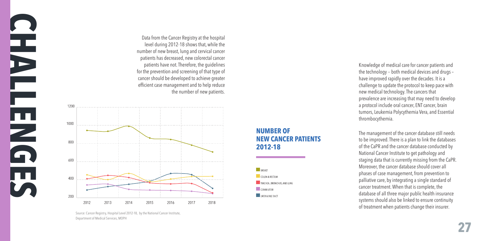the technology -- both medical devices and drugs – have improved rapidly over the decades. It is a challenge to update the protocol to keep pace with new medical technology. The cancers that a protocol include oral cancer, ENT cancer, brain tumors, Leukemia Polycythemia Vera, and Essential thrombocythemia.

The management of the cancer database still needs to be improved. There is a plan to link the databases of the CaPR and the cancer database conducted by National Cancer Institute to get pathology and staging data that is currently missing from the CaPR. Moreover, the cancer database should cover all phases of case management, from prevention to palliative care, by integrating a single standard of cancer treatment. When that is complete, the database of all three major public health insurance systems should also be linked to ensure continuity of treatment when patients change their insurer.

Knowledge of medical care for cancer patients and

prevalence are increasing that may need to develop

the number of new patients.

Data from the Cancer Registry at the hospital level during 2012-18 shows that, while the number of new breast, lung and cervical cancer patients has decreased, new colorectal cancer patients have not. Therefore, the guidelines for the prevention and screening of that type of cancer should be developed to achieve greater efficient case management and to help reduce



Source: Cancer Registry, Hospital Level 2012-18, by the National Cancer Institute, Department of Medical Services, MOPH

**CHALLENGES** 

E<br>Q

1200

FE PLA

#### **NUMBER OF NEW CANCER PATIENTS 2012-18**